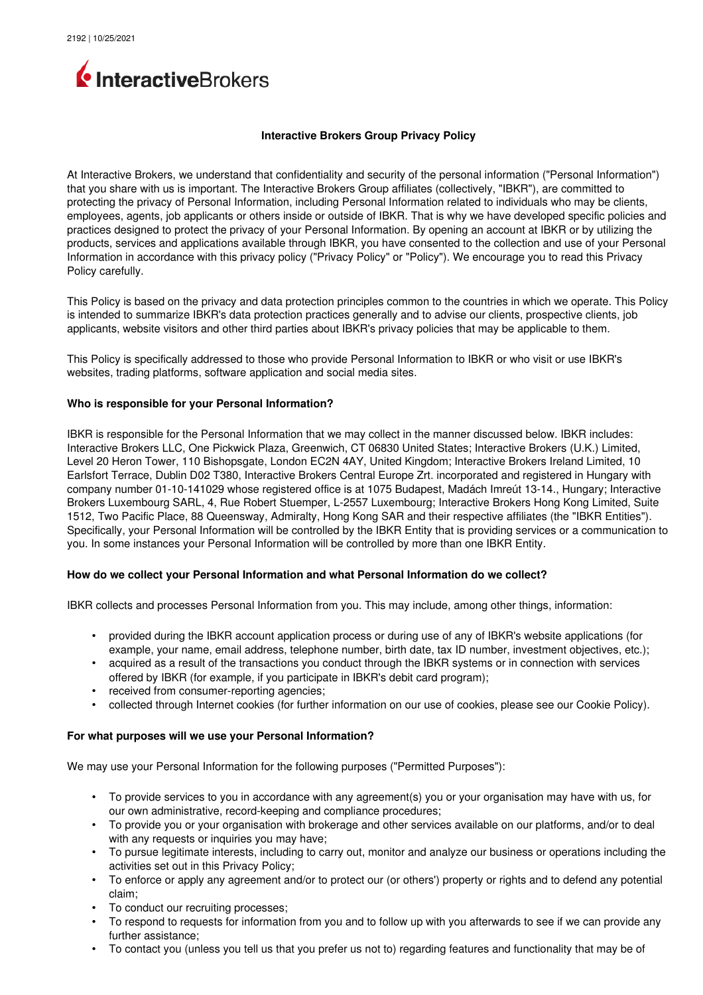

### **Interactive Brokers Group Privacy Policy**

At Interactive Brokers, we understand that confidentiality and security of the personal information ("Personal Information") that you share with us is important. The Interactive Brokers Group affiliates (collectively, "IBKR"), are committed to protecting the privacy of Personal Information, including Personal Information related to individuals who may be clients, employees, agents, job applicants or others inside or outside of IBKR. That is why we have developed specific policies and practices designed to protect the privacy of your Personal Information. By opening an account at IBKR or by utilizing the products, services and applications available through IBKR, you have consented to the collection and use of your Personal Information in accordance with this privacy policy ("Privacy Policy" or "Policy"). We encourage you to read this Privacy Policy carefully.

This Policy is based on the privacy and data protection principles common to the countries in which we operate. This Policy is intended to summarize IBKR's data protection practices generally and to advise our clients, prospective clients, job applicants, website visitors and other third parties about IBKR's privacy policies that may be applicable to them.

This Policy is specifically addressed to those who provide Personal Information to IBKR or who visit or use IBKR's websites, trading platforms, software application and social media sites.

## **Who is responsible for your Personal Information?**

IBKR is responsible for the Personal Information that we may collect in the manner discussed below. IBKR includes: Interactive Brokers LLC, One Pickwick Plaza, Greenwich, CT 06830 United States; Interactive Brokers (U.K.) Limited, Level 20 Heron Tower, 110 Bishopsgate, London EC2N 4AY, United Kingdom; Interactive Brokers Ireland Limited, 10 Earlsfort Terrace, Dublin D02 T380, Interactive Brokers Central Europe Zrt. incorporated and registered in Hungary with company number 01-10-141029 whose registered office is at 1075 Budapest, Madách Imreút 13-14., Hungary; Interactive Brokers Luxembourg SARL, 4, Rue Robert Stuemper, L-2557 Luxembourg; Interactive Brokers Hong Kong Limited, Suite 1512, Two Pacific Place, 88 Queensway, Admiralty, Hong Kong SAR and their respective affiliates (the "IBKR Entities"). Specifically, your Personal Information will be controlled by the IBKR Entity that is providing services or a communication to you. In some instances your Personal Information will be controlled by more than one IBKR Entity.

## **How do we collect your Personal Information and what Personal Information do we collect?**

IBKR collects and processes Personal Information from you. This may include, among other things, information:

- provided during the IBKR account application process or during use of any of IBKR's website applications (for example, your name, email address, telephone number, birth date, tax ID number, investment objectives, etc.);
- acquired as a result of the transactions you conduct through the IBKR systems or in connection with services offered by IBKR (for example, if you participate in IBKR's debit card program);
- received from consumer-reporting agencies;
- collected through Internet cookies (for further information on our use of cookies, please see our Cookie Policy).

#### **For what purposes will we use your Personal Information?**

We may use your Personal Information for the following purposes ("Permitted Purposes"):

- To provide services to you in accordance with any agreement(s) you or your organisation may have with us, for our own administrative, record-keeping and compliance procedures;
- To provide you or your organisation with brokerage and other services available on our platforms, and/or to deal with any requests or inquiries you may have;
- To pursue legitimate interests, including to carry out, monitor and analyze our business or operations including the activities set out in this Privacy Policy;
- To enforce or apply any agreement and/or to protect our (or others') property or rights and to defend any potential claim;
- To conduct our recruiting processes;
- To respond to requests for information from you and to follow up with you afterwards to see if we can provide any further assistance;
- To contact you (unless you tell us that you prefer us not to) regarding features and functionality that may be of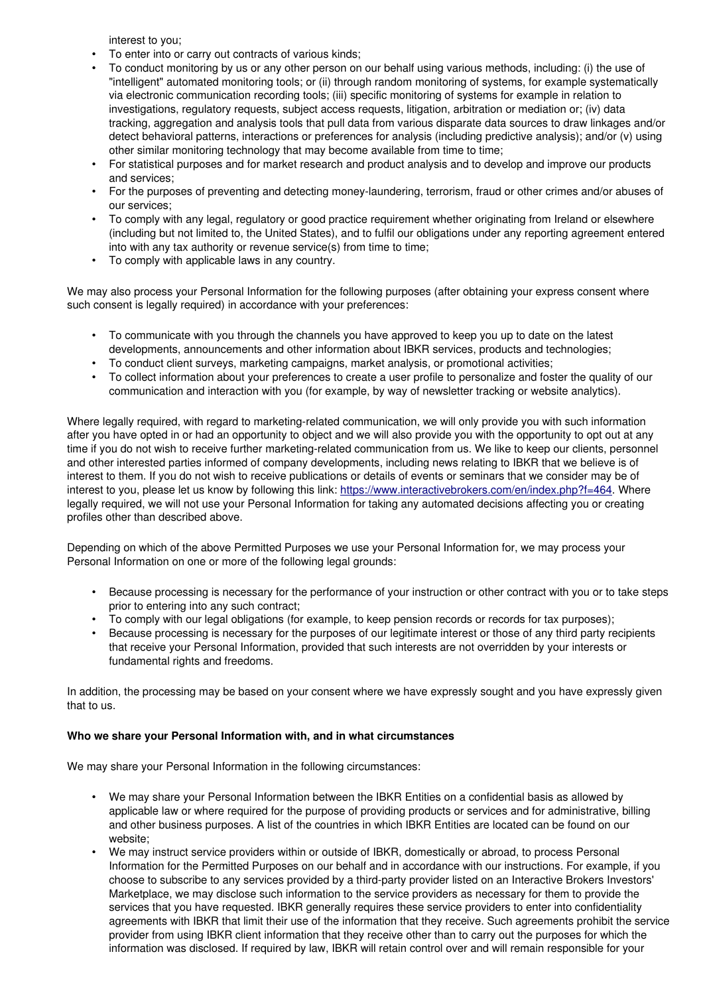interest to you;

- To enter into or carry out contracts of various kinds;
- To conduct monitoring by us or any other person on our behalf using various methods, including: (i) the use of "intelligent" automated monitoring tools; or (ii) through random monitoring of systems, for example systematically via electronic communication recording tools; (iii) specific monitoring of systems for example in relation to investigations, regulatory requests, subject access requests, litigation, arbitration or mediation or; (iv) data tracking, aggregation and analysis tools that pull data from various disparate data sources to draw linkages and/or detect behavioral patterns, interactions or preferences for analysis (including predictive analysis); and/or (v) using other similar monitoring technology that may become available from time to time;
- For statistical purposes and for market research and product analysis and to develop and improve our products and services;
- For the purposes of preventing and detecting moneylaundering, terrorism, fraud or other crimes and/or abuses of our services;
- To comply with any legal, regulatory or good practice requirement whether originating from Ireland or elsewhere (including but not limited to, the United States), and to fulfil our obligations under any reporting agreement entered into with any tax authority or revenue service(s) from time to time;
- To comply with applicable laws in any country.

We may also process your Personal Information for the following purposes (after obtaining your express consent where such consent is legally required) in accordance with your preferences:

- To communicate with you through the channels you have approved to keep you up to date on the latest developments, announcements and other information about IBKR services, products and technologies;
- To conduct client surveys, marketing campaigns, market analysis, or promotional activities;
- To collect information about your preferences to create a user profile to personalize and foster the quality of our communication and interaction with you (for example, by way of newsletter tracking or website analytics).

Where legally required, with regard to marketing-related communication, we will only provide you with such information after you have opted in or had an opportunity to object and we will also provide you with the opportunity to opt out at any time if you do not wish to receive further marketing-related communication from us. We like to keep our clients, personnel and other interested parties informed of company developments, including news relating to IBKR that we believe is of interest to them. If you do not wish to receive publications or details of events or seminars that we consider may be of interest to you, please let us know by following this link: [https://www.interactivebrokers.com/en/index.php?f=464.](https://www.interactivebrokers.com/en/index.php?f=464) Where legally required, we will not use your Personal Information for taking any automated decisions affecting you or creating profiles other than described above.

Depending on which of the above Permitted Purposes we use your Personal Information for, we may process your Personal Information on one or more of the following legal grounds:

- Because processing is necessary for the performance of your instruction or other contract with you or to take steps prior to entering into any such contract;
- To comply with our legal obligations (for example, to keep pension records or records for tax purposes);
- Because processing is necessary for the purposes of our legitimate interest or those of any third party recipients that receive your Personal Information, provided that such interests are not overridden by your interests or fundamental rights and freedoms.

In addition, the processing may be based on your consent where we have expressly sought and you have expressly given that to us.

## **Who we share your Personal Information with, and in what circumstances**

We may share your Personal Information in the following circumstances:

- We may share your Personal Information between the IBKR Entities on a confidential basis as allowed by applicable law or where required for the purpose of providing products or services and for administrative, billing and other business purposes. A list of the countries in which IBKR Entities are located can be found on our website;
- We may instruct service providers within or outside of IBKR, domestically or abroad, to process Personal Information for the Permitted Purposes on our behalf and in accordance with our instructions. For example, if you choose to subscribe to any services provided by a third-party provider listed on an Interactive Brokers Investors' Marketplace, we may disclose such information to the service providers as necessary for them to provide the services that you have requested. IBKR generally requires these service providers to enter into confidentiality agreements with IBKR that limit their use of the information that they receive. Such agreements prohibit the service provider from using IBKR client information that they receive other than to carry out the purposes for which the information was disclosed. If required by law, IBKR will retain control over and will remain responsible for your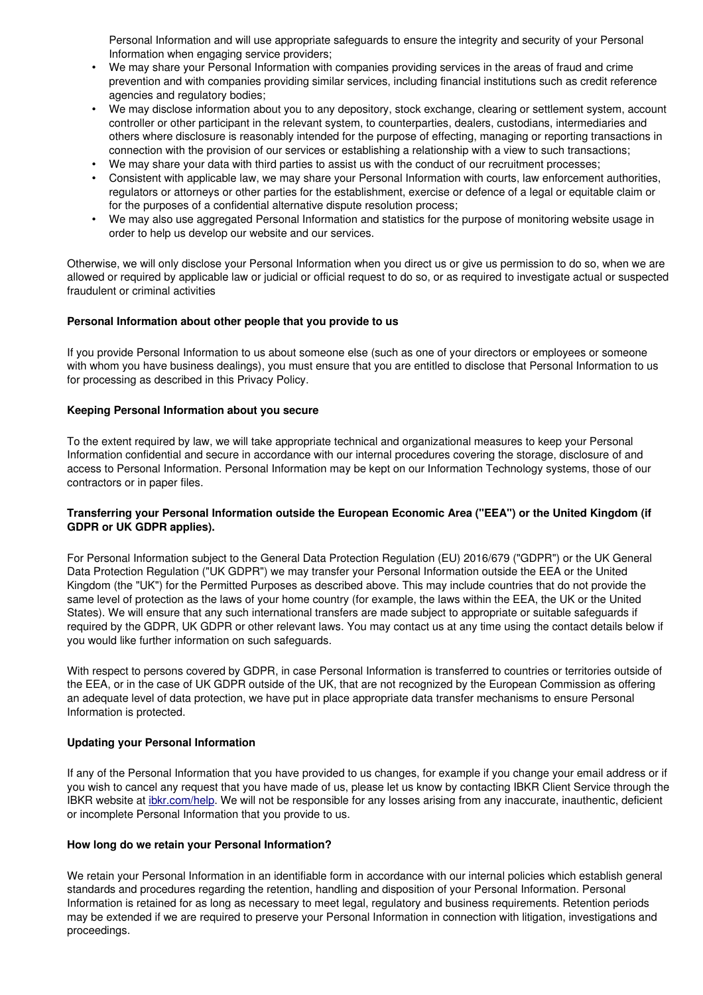Personal Information and will use appropriate safeguards to ensure the integrity and security of your Personal Information when engaging service providers;

- We may share your Personal Information with companies providing services in the areas of fraud and crime prevention and with companies providing similar services, including financial institutions such as credit reference agencies and regulatory bodies;
- We may disclose information about you to any depository, stock exchange, clearing or settlement system, account controller or other participant in the relevant system, to counterparties, dealers, custodians, intermediaries and others where disclosure is reasonably intended for the purpose of effecting, managing or reporting transactions in connection with the provision of our services or establishing a relationship with a view to such transactions;
- We may share your data with third parties to assist us with the conduct of our recruitment processes;
- Consistent with applicable law, we may share your Personal Information with courts, law enforcement authorities, regulators or attorneys or other parties for the establishment, exercise or defence of a legal or equitable claim or for the purposes of a confidential alternative dispute resolution process;
- We may also use aggregated Personal Information and statistics for the purpose of monitoring website usage in order to help us develop our website and our services.

Otherwise, we will only disclose your Personal Information when you direct us or give us permission to do so, when we are allowed or required by applicable law or judicial or official request to do so, or as required to investigate actual or suspected fraudulent or criminal activities

## **Personal Information about other people that you provide to us**

If you provide Personal Information to us about someone else (such as one of your directors or employees or someone with whom you have business dealings), you must ensure that you are entitled to disclose that Personal Information to us for processing as described in this Privacy Policy.

### **Keeping Personal Information about you secure**

To the extent required by law, we will take appropriate technical and organizational measures to keep your Personal Information confidential and secure in accordance with our internal procedures covering the storage, disclosure of and access to Personal Information. Personal Information may be kept on our Information Technology systems, those of our contractors or in paper files.

# **Transferring your Personal Information outside the European Economic Area ("EEA") or the United Kingdom (if GDPR or UK GDPR applies).**

For Personal Information subject to the General Data Protection Regulation (EU) 2016/679 ("GDPR") or the UK General Data Protection Regulation ("UK GDPR") we may transfer your Personal Information outside the EEA or the United Kingdom (the "UK") for the Permitted Purposes as described above. This may include countries that do not provide the same level of protection as the laws of your home country (for example, the laws within the EEA, the UK or the United States). We will ensure that any such international transfers are made subject to appropriate or suitable safeguards if required by the GDPR, UK GDPR or other relevant laws. You may contact us at any time using the contact details below if you would like further information on such safeguards.

With respect to persons covered by GDPR, in case Personal Information is transferred to countries or territories outside of the EEA, or in the case of UK GDPR outside of the UK, that are not recognized by the European Commission as offering an adequate level of data protection, we have put in place appropriate data transfer mechanisms to ensure Personal Information is protected.

## **Updating your Personal Information**

If any of the Personal Information that you have provided to us changes, for example if you change your email address or if you wish to cancel any request that you have made of us, please let us know by contacting IBKR Client Service through the IBKR website at [ibkr.com/help.](file:///help/index.php) We will not be responsible for any losses arising from any inaccurate, inauthentic, deficient or incomplete Personal Information that you provide to us.

### **How long do we retain your Personal Information?**

We retain your Personal Information in an identifiable form in accordance with our internal policies which establish general standards and procedures regarding the retention, handling and disposition of your Personal Information. Personal Information is retained for as long as necessary to meet legal, regulatory and business requirements. Retention periods may be extended if we are required to preserve your Personal Information in connection with litigation, investigations and proceedings.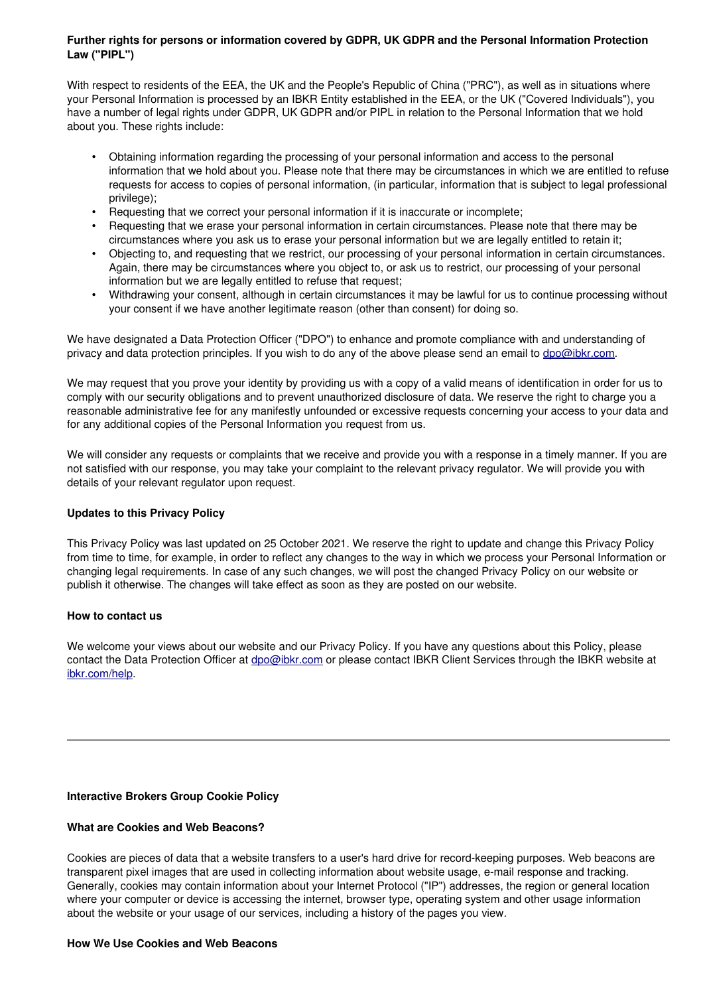# **Further rights for persons or information covered by GDPR, UK GDPR and the Personal Information Protection Law ("PIPL")**

With respect to residents of the EEA, the UK and the People's Republic of China ("PRC"), as well as in situations where your Personal Information is processed by an IBKR Entity established in the EEA, or the UK ("Covered Individuals"), you have a number of legal rights under GDPR, UK GDPR and/or PIPL in relation to the Personal Information that we hold about you. These rights include:

- Obtaining information regarding the processing of your personal information and access to the personal information that we hold about you. Please note that there may be circumstances in which we are entitled to refuse requests for access to copies of personal information, (in particular, information that is subject to legal professional privilege);
- Requesting that we correct your personal information if it is inaccurate or incomplete;
- Requesting that we erase your personal information in certain circumstances. Please note that there may be circumstances where you ask us to erase your personal information but we are legally entitled to retain it;
- Objecting to, and requesting that we restrict, our processing of your personal information in certain circumstances. Again, there may be circumstances where you object to, or ask us to restrict, our processing of your personal information but we are legally entitled to refuse that request;
- Withdrawing your consent, although in certain circumstances it may be lawful for us to continue processing without your consent if we have another legitimate reason (other than consent) for doing so.

We have designated a Data Protection Officer ("DPO") to enhance and promote compliance with and understanding of privacy and data protection principles. If you wish to do any of the above please send an email to [dpo@ibkr.com.](mailto:dpo@ibkr.com)

We may request that you prove your identity by providing us with a copy of a valid means of identification in order for us to comply with our security obligations and to prevent unauthorized disclosure of data. We reserve the right to charge you a reasonable administrative fee for any manifestly unfounded or excessive requests concerning your access to your data and for any additional copies of the Personal Information you request from us.

We will consider any requests or complaints that we receive and provide you with a response in a timely manner. If you are not satisfied with our response, you may take your complaint to the relevant privacy regulator. We will provide you with details of your relevant regulator upon request.

# **Updates to this Privacy Policy**

This Privacy Policy was last updated on 25 October 2021. We reserve the right to update and change this Privacy Policy from time to time, for example, in order to reflect any changes to the way in which we process your Personal Information or changing legal requirements. In case of any such changes, we will post the changed Privacy Policy on our website or publish it otherwise. The changes will take effect as soon as they are posted on our website.

## **How to contact us**

We welcome your views about our website and our Privacy Policy. If you have any questions about this Policy, please contact the Data Protection Officer at [dpo@ibkr.com](mailto:dpo@ibkr.com) or please contact IBKR Client Services through the IBKR website at [ibkr.com/help.](file:///help/index.php)

## **Interactive Brokers Group Cookie Policy**

## **What are Cookies and Web Beacons?**

Cookies are pieces of data that a website transfers to a user's hard drive for record-keeping purposes. Web beacons are transparent pixel images that are used in collecting information about website usage, email response and tracking. Generally, cookies may contain information about your Internet Protocol ("IP") addresses, the region or general location where your computer or device is accessing the internet, browser type, operating system and other usage information about the website or your usage of our services, including a history of the pages you view.

## **How We Use Cookies and Web Beacons**